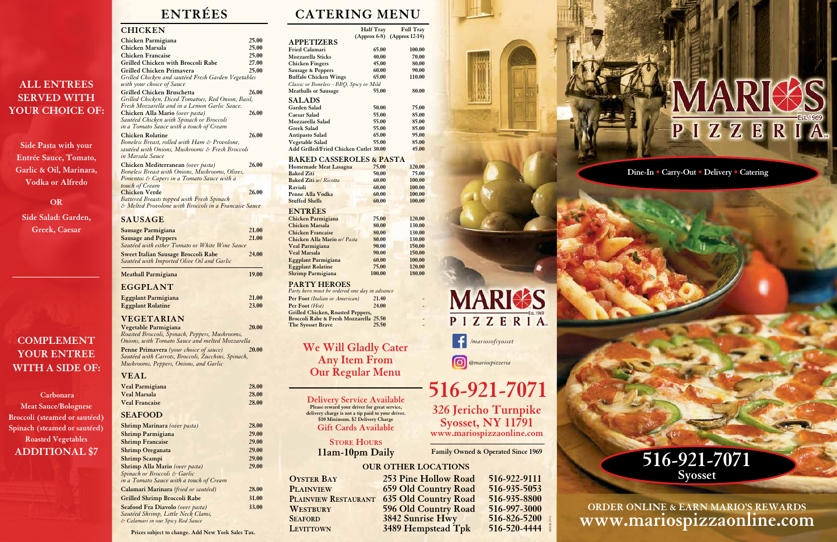**Dine-In • Carry-Out • Delivery • Catering**

# **ENTRÉES CATERING MENU**

**STORE HOURS 11am-10pm Daily**

**Please reward your driver for great service, delivery charge is not a tip paid to your driver. \$10 Minimum. \$2 Delivery Charge Gift Cards Available**

# **516-921-7071 Delivery Service Available 326 Jericho Turnpike Syosset, NY 11791 www.mariospizzaonline.com**

### **OUR OTHER LOCATIONS**

**LEVITTOWN** 3489 Hempstead Tpk

**OYSTER BAY** 253 Pine Hollow Road 516-922-9111<br>PLAINVIEW 659 Old Country Road 516-935-5053 **Plainview 659 Old Country Road 516-935-5053 Plainview Restaurant 635 Old Country Road 516-935-8800 WESTBURY** 596 Old Country Road 516-997-3000<br> **SEAFORD** 3842 Sunrise Hwy 516-826-5200 **SEAFORD** 3842 Sunrise Hwy 516-826-5200<br>LEVITTOWN 3489 Hempstead Tpk 516-520-4444

MPPOR-17992



**CHICKEN**

| Chicken Parmigiana                                    | 25.00 |
|-------------------------------------------------------|-------|
| Chicken Marsala                                       | 25.00 |
| <b>Chicken Francaise</b>                              | 25.00 |
| <b>Grilled Chicken with Broccoli Rabe</b>             | 27.00 |
| <b>Grilled Chicken Primavera</b>                      | 25.00 |
| Grilled Chicken and sautéed Fresh Garden Vegetables   |       |
| with your choice of Sauce                             |       |
| <b>Grilled Chicken Bruschetta</b>                     | 26.00 |
| Grilled Chicken, Diced Tomatoes, Red Onion, Basil,    |       |
| Fresh Mozzarella and in a Lemon Garlic Sauce.         |       |
| Chicken Alla Mario (over pasta)                       | 26.00 |
| Sautéed Chicken with Spinach or Broccoli              |       |
| in a Tomato Sauce with a touch of Cream               |       |
| <b>Chicken Rolatine</b>                               | 26.00 |
| Boneless Breast, rolled with Ham & Provolone,         |       |
| sautéed with Onions, Mushrooms & Fresh Broccoli       |       |
| in Marsala Sauce                                      |       |
| Chicken Mediterranean (over pasta)                    | 26.00 |
| Boneless Breast with Onions, Mushrooms, Olives,       |       |
| Pimentos & Capers in a Tomato Sauce with a            |       |
| touch of Cream                                        |       |
| <b>Chicken Verde</b>                                  | 26.00 |
| Battered Breasts topped with Fresh Spinach            |       |
| & Melted Provolone with Broccoli in a Française Sauce |       |
|                                                       |       |
| <b>SAUSAGE</b>                                        |       |
| Sausage Parmigiana                                    | 21.00 |
| <b>Sausage and Peppers</b>                            | 21.00 |
| Sautéed with either Tomato or White Wine Sauce        |       |
|                                                       |       |

**Half Tray Full Tray (Approx 6-8) (Approx 12-14) APPETIZERS Fried Calamari 65.00 100.00 Mozzarella Sticks 40.00 70.00 Chicken Fingers 45.00 Sausage & Peppers** 60.00 90.00<br> **Buffalo Chicken Wings** 65.00 110.00 **Buffalo Chicken Wings** *Classic or Boneless - BBQ, Spicy or Mild* Meatballs or Sausage 55.00 80.00 **SALADS Garden Salad 50.00 75.00** Caesar Salad **55.00** 85.00<br>Mozzarella Salad 55.00 85.00 **Mozzarella Salad 55.00 85.00 Greek Salad** 

| <b>Meatball Parmigiana</b>                                                               | 19.00 |
|------------------------------------------------------------------------------------------|-------|
| <b>Sweet Italian Sausage Broccoli Rabe</b><br>Sautéed with Imported Olive Oil and Garlic | 24.00 |
| Sautéed with either Tomato or White Wine Sauce                                           |       |

### **EGGPLANT**

| <b>Eggplant Parmigiana</b> | 21.00 |
|----------------------------|-------|
| <b>Eggplant Rolatine</b>   | 23.00 |
|                            |       |

*Party hero must be ordered one day in advance* **Per Foot** *(Italian or American)* **21.40<br>
<b>Per Foot** *(Hot)* 24.00 **Per Foot** *(Hot)* **Grilled Chicken, Roasted Peppers, Broccoli Rabe & Fresh Mozzarella 25.50**<br>The Syosset Brave 25.50 **The Syosset Brave** 

### **VEGETARIAN**

| Vegetable Parmigiana                               | 20.00        |
|----------------------------------------------------|--------------|
| Roasted Broccoli, Spinach, Peppers, Mushrooms,     |              |
| Onions, with Tomato Sauce and melted Mozzarella    |              |
| Penne Primavera (your choice of sauce)             | <b>20.00</b> |
| Sautéed with Carrots, Broccoli, Zucchini, Spinach, |              |
| Mushrooms, Peppers, Onions, and Garlic             |              |

### **VEAL**

| Veal Parmigiana                         | 28.00 |
|-----------------------------------------|-------|
| <b>Veal Marsala</b>                     | 28.00 |
| <b>Veal Francaise</b>                   | 28.00 |
| <b>SEAFOOD</b>                          |       |
| <b>Shrimp Marinara</b> (over pasta)     | 28.00 |
| <b>Shrimp Parmigiana</b>                | 29.00 |
| <b>Shrimp Francaise</b>                 | 29.00 |
| <b>Shrimp Oreganata</b>                 | 29.00 |
| <b>Shrimp Scampi</b>                    | 29.00 |
| Shrimp Alla Mario (over pasta)          | 29.00 |
| Spinach or Broccoli & Garlic            |       |
| in a Tomato Sauce with a touch of Cream |       |
| Calamari Marinara (fried or sautéed)    | 28.00 |
| <b>Grilled Shrimp Broccoli Rabe</b>     | 31.00 |
| Seafood Fra Diavolo (over pasta)        | 33.00 |
| Sautéed Shrimp, Little Neck Clams,      |       |
| & Calamari in our Spicy Red Sauce       |       |
|                                         |       |

**Add Grilled/Fried Chicken Cutlet 30.00 45.00**

**Antipasto Salad 65.00 95.00**<br> **Vegetable Salad 65.00** 85.00 **Vegetable Salad** 55.00 85.00<br>Add Grilled/Fried Chicken Cutlet 30.00 45.00

### **BAKED CASSEROLES & PASTA**

| иши спосновно                | $W = 110 + 11$ |        |
|------------------------------|----------------|--------|
| <b>Homemade Meat Lasagna</b> | 75.00          | 120.00 |
| <b>Baked Ziti</b>            | 50.00          | 75.00  |
| <b>Baked Ziti w/ Ricotta</b> | 60.00          | 100.00 |
| Ravioli                      | 60.00          | 100.00 |
| Penne Alla Vodka             | 60.00          | 100.00 |
| <b>Stuffed Shells</b>        | 60.00          | 100.00 |
| <b>ENTRÉES</b>               |                |        |
| Chicken Parmigiana           | 75.00          | 120.00 |
| <b>Chicken Marsala</b>       | 80.00          | 130.00 |
| <b>Chicken Francaise</b>     | 80.00          | 130.00 |
| Chicken Alla Mario w/ Pasta  | 80.00          | 130.00 |
| Veal Parmigiana              | 90.00          | 150.00 |
| <b>Veal Marsala</b>          | 90.00          | 150.00 |
| <b>Eggplant Parmigiana</b>   | 60.00          | 100.00 |
| <b>Eggplant Rolatine</b>     | 75.00          | 120.00 |
| <b>Shrimp Parmigiana</b>     | 100.00         | 180.00 |

### **PARTY HEROES**

**We Will Gladly Cater Any Item From Our Regular Menu**

**Family Owned & Operated Since 1969**



*@mariospizzeria*

**ORDER ONLINE & EARN MARIO'S REWARDS www.mariospizzaonline.com**



**ALL ENTREES SERVED WITH YOUR CHOICE OF:**

**Side Pasta with your Entrée Sauce, Tomato, Garlic & Oil, Marinara, Vodka or Alfredo** 

**OR**

**Side Salad: Garden, Greek, Caesar**

**COMPLEMENT** 

**YOUR ENTREE** 

**WITH A SIDE OF:**

**Carbonara Meat Sauce/Bolognese Broccoli (steamed or sautéed) Spinach (steamed or sautéed) Roasted Vegetables ADDITIONAL \$7** 

**Prices subject to change. Add New York Sales Tax.**